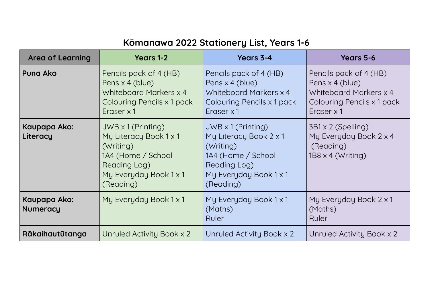## **Kōmanawa 2022 Stationery List, Years 1-6**

| <b>Area of Learning</b>         | <b>Years 1-2</b>                                                                                                                              | Years 3-4                                                                                                                                     | Years 5-6                                                                                                       |
|---------------------------------|-----------------------------------------------------------------------------------------------------------------------------------------------|-----------------------------------------------------------------------------------------------------------------------------------------------|-----------------------------------------------------------------------------------------------------------------|
| <b>Puna Ako</b>                 | Pencils pack of 4 (HB)<br>Pens x 4 (blue)<br>Whiteboard Markers x 4<br>Colouring Pencils x 1 pack<br>Eraser x 1                               | Pencils pack of 4 (HB)<br>Pens x 4 (blue)<br>Whiteboard Markers x 4<br>Colouring Pencils x 1 pack<br>Eraser x 1                               | Pencils pack of 4 (HB)<br>Pens x 4 (blue)<br>Whiteboard Markers x 4<br>Colouring Pencils x 1 pack<br>Eraser x 1 |
| Kaupapa Ako:<br>Literacy        | $JWB \times 1$ (Printing)<br>My Literacy Book 1 x 1<br>(Writing)<br>1A4 (Home / School<br>Reading Log)<br>My Everyday Book 1 x 1<br>(Reading) | $JWB \times 1$ (Printing)<br>My Literacy Book 2 x 1<br>(Writing)<br>1A4 (Home / School<br>Reading Log)<br>My Everyday Book 1 x 1<br>(Reading) | 3B1 x 2 (Spelling)<br>My Everyday Book 2 x 4<br>(Reading)<br>$1B8 \times 4$ (Writing)                           |
| Kaupapa Ako:<br><b>Numeracy</b> | My Everyday Book 1 x 1                                                                                                                        | My Everyday Book 1 x 1<br>(Maths)<br>Ruler                                                                                                    | My Everyday Book 2 x 1<br>(Maths)<br>Ruler                                                                      |
| Rākaihautūtanga                 | Unruled Activity Book x 2                                                                                                                     | Unruled Activity Book x 2                                                                                                                     | Unruled Activity Book x 2                                                                                       |